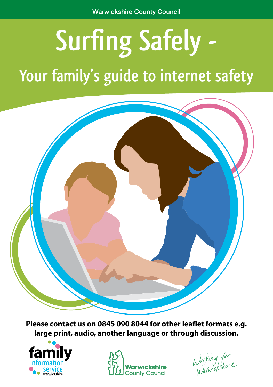# **Surfing Safely -**

# **Your family's guide to internet safety**



**Please contact us on 0845 090 8044 for other leaflet formats e.g. large print, audio, another language or through discussion.**





Working for<br>Warwickshire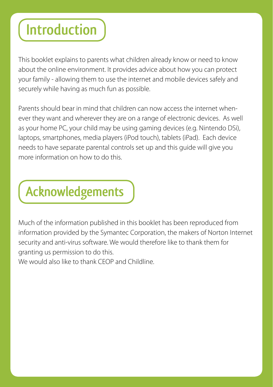# **Introduction**

This booklet explains to parents what children already know or need to know about the online environment. It provides advice about how you can protect your family - allowing them to use the internet and mobile devices safely and securely while having as much fun as possible.

Parents should bear in mind that children can now access the internet whenever they want and wherever they are on a range of electronic devices. As well as your home PC, your child may be using gaming devices (e.g. Nintendo DSi), laptops, smartphones, media players (iPod touch), tablets (iPad). Each device needs to have separate parental controls set up and this guide will give you more information on how to do this.

# **Acknowledgements**

Much of the information published in this booklet has been reproduced from information provided by the Symantec Corporation, the makers of Norton Internet security and anti-virus software. We would therefore like to thank them for granting us permission to do this. We would also like to thank CEOP and Childline.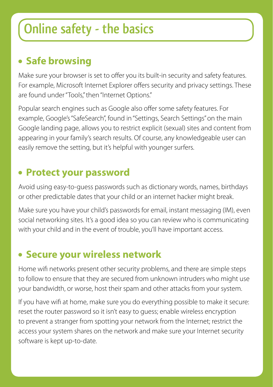## **Online safety - the basics**

### **Safe browsing**

Make sure your browser is set to offer you its built-in security and safety features. For example, Microsoft Internet Explorer offers security and privacy settings. These are found under "Tools," then "Internet Options."

Popular search engines such as Google also offer some safety features. For example, Google's "SafeSearch", found in "Settings, Search Settings" on the main Google landing page, allows you to restrict explicit (sexual) sites and content from appearing in your family's search results. Of course, any knowledgeable user can easily remove the setting, but it's helpful with younger surfers.

#### **Protect your password**

Avoid using easy-to-guess passwords such as dictionary words, names, birthdays or other predictable dates that your child or an internet hacker might break.

Make sure you have your child's passwords for email, instant messaging (IM), even social networking sites. It's a good idea so you can review who is communicating with your child and in the event of trouble, you'll have important access.

#### **Secure your wireless network**

Home wifi networks present other security problems, and there are simple steps to follow to ensure that they are secured from unknown intruders who might use your bandwidth, or worse, host their spam and other attacks from your system.

If you have wifi at home, make sure you do everything possible to make it secure: reset the router password so it isn't easy to guess; enable wireless encryption to prevent a stranger from spotting your network from the Internet; restrict the access your system shares on the network and make sure your Internet security software is kept up-to-date.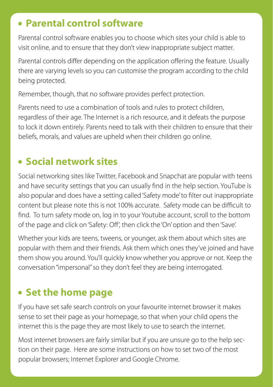#### **Parental control software**

Parental control software enables you to choose which sites your child is able to visit online, and to ensure that they don't view inappropriate subject matter.

Parental controls differ depending on the application offering the feature. Usually there are varying levels so you can customise the program according to the child being protected.

Remember, though, that no software provides perfect protection.

Parents need to use a combination of tools and rules to protect children, regardless of their age. The Internet is a rich resource, and it defeats the purpose to lock it down entirely. Parents need to talk with their children to ensure that their beliefs, morals, and values are upheld when their children go online.

### **Social network sites**

Social networking sites like Twitter, Facebook and Snapchat are popular with teens and have security settings that you can usually find in the help section. YouTube is also popular and does have a setting called 'Safety mode' to filter out inappropriate content but please note this is not 100% accurate. Safety mode can be difficult to find. To turn safety mode on, log in to your Youtube account, scroll to the bottom of the page and click on 'Safety: Off', then click the 'On' option and then 'Save'.

Whether your kids are teens, tweens, or younger, ask them about which sites are popular with them and their friends. Ask them which ones they've joined and have them show you around. You'll quickly know whether you approve or not. Keep the conversation "impersonal" so they don't feel they are being interrogated.

### **Set the home page**

If you have set safe search controls on your favourite internet browser it makes sense to set their page as your homepage, so that when your child opens the internet this is the page they are most likely to use to search the internet.

Most internet browsers are fairly similar but if you are unsure go to the help section on their page. Here are some instructions on how to set two of the most popular browsers; Internet Explorer and Google Chrome.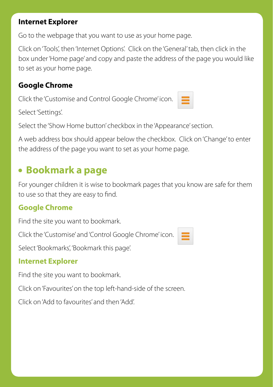#### **Internet Explorer**

Go to the webpage that you want to use as your home page.

Click on 'Tools', then 'Internet Options'. Click on the 'General' tab, then click in the box under 'Home page' and copy and paste the address of the page you would like to set as your home page.

#### **Google Chrome**

Click the 'Customise and Control Google Chrome' icon.

Select 'Settings'.

Select the 'Show Home button' checkbox in the 'Appearance' section.

A web address box should appear below the checkbox. Click on 'Change' to enter the address of the page you want to set as your home page.

### **Bookmark a page**

For younger children it is wise to bookmark pages that you know are safe for them to use so that they are easy to find.

#### **Google Chrome**

Find the site you want to bookmark.

Click the 'Customise' and 'Control Google Chrome' icon.



Select 'Bookmarks', 'Bookmark this page'.

#### **Internet Explorer**

Find the site you want to bookmark.

Click on 'Favourites' on the top left-hand-side of the screen.

Click on 'Add to favourites' and then 'Add'.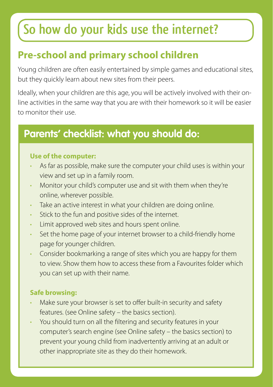# **So how do your kids use the internet?**

### **Pre-school and primary school children**

Young children are often easily entertained by simple games and educational sites, but they quickly learn about new sites from their peers.

Ideally, when your children are this age, you will be actively involved with their online activities in the same way that you are with their homework so it will be easier to monitor their use.

### **Parents' checklist: what you should do:**

#### **Use of the computer:**

- As far as possible, make sure the computer your child uses is within your view and set up in a family room.
- Monitor your child's computer use and sit with them when they're online, wherever possible.
- Take an active interest in what your children are doing online.
- Stick to the fun and positive sides of the internet.
- Limit approved web sites and hours spent online.
- Set the home page of your internet browser to a child-friendly home page for younger children.
- Consider bookmarking a range of sites which you are happy for them to view. Show them how to access these from a Favourites folder which you can set up with their name.

#### **Safe browsing:**

- Make sure your browser is set to offer built-in security and safety features. (see Online safety – the basics section).
- You should turn on all the filtering and security features in your computer's search engine (see Online safety – the basics section) to prevent your young child from inadvertently arriving at an adult or other inappropriate site as they do their homework.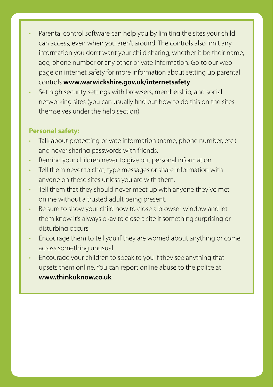- Parental control software can help you by limiting the sites your child can access, even when you aren't around. The controls also limit any information you don't want your child sharing, whether it be their name, age, phone number or any other private information. Go to our web page on internet safety for more information about setting up parental controls **www.warwickshire.gov.uk/internetsafety**
- Set high security settings with browsers, membership, and social networking sites (you can usually find out how to do this on the sites themselves under the help section).

#### **Personal safety:**

- Talk about protecting private information (name, phone number, etc.) and never sharing passwords with friends.
- Remind your children never to give out personal information.
- Tell them never to chat, type messages or share information with anyone on these sites unless you are with them.
- Tell them that they should never meet up with anyone they've met online without a trusted adult being present.
- Be sure to show your child how to close a browser window and let them know it's always okay to close a site if something surprising or disturbing occurs.
- Encourage them to tell you if they are worried about anything or come across something unusual.
- Encourage your children to speak to you if they see anything that upsets them online. You can report online abuse to the police at **www.thinkuknow.co.uk**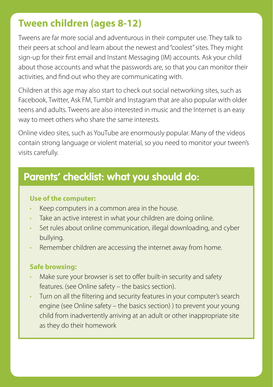#### **Tween children (ages 8-12)**

Tweens are far more social and adventurous in their computer use. They talk to their peers at school and learn about the newest and "coolest" sites. They might sign-up for their first email and Instant Messaging (IM) accounts. Ask your child about those accounts and what the passwords are, so that you can monitor their activities, and find out who they are communicating with.

Children at this age may also start to check out social networking sites, such as Facebook, Twitter, Ask FM, Tumblr and Instagram that are also popular with older teens and adults. Tweens are also interested in music and the Internet is an easy way to meet others who share the same interests.

Online video sites, such as YouTube are enormously popular. Many of the videos contain strong language or violent material, so you need to monitor your tween's visits carefully.

### **Parents' checklist: what you should do:**

#### **Use of the computer:**

- Keep computers in a common area in the house.
- Take an active interest in what your children are doing online.
- Set rules about online communication, illegal downloading, and cyber bullying.
- Remember children are accessing the internet away from home.

#### **Safe browsing:**

- Make sure your browser is set to offer built-in security and safety features. (see Online safety – the basics section).
- Turn on all the filtering and security features in your computer's search engine (see Online safety – the basics section) ) to prevent your young child from inadvertently arriving at an adult or other inappropriate site as they do their homework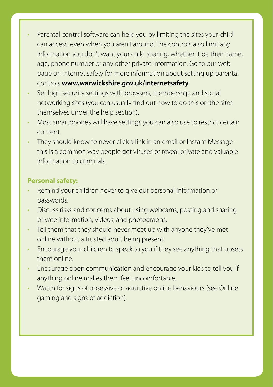- Parental control software can help you by limiting the sites your child can access, even when you aren't around. The controls also limit any information you don't want your child sharing, whether it be their name, age, phone number or any other private information. Go to our web page on internet safety for more information about setting up parental controls **www.warwickshire.gov.uk/internetsafety**
- Set high security settings with browsers, membership, and social networking sites (you can usually find out how to do this on the sites themselves under the help section).
- Most smartphones will have settings you can also use to restrict certain content.
- They should know to never click a link in an email or Instant Message this is a common way people get viruses or reveal private and valuable information to criminals.

#### **Personal safety:**

- Remind your children never to give out personal information or passwords.
- Discuss risks and concerns about using webcams, posting and sharing private information, videos, and photographs.
- Tell them that they should never meet up with anyone they've met online without a trusted adult being present.
- Encourage your children to speak to you if they see anything that upsets them online.
- Encourage open communication and encourage your kids to tell you if anything online makes them feel uncomfortable.
- Watch for signs of obsessive or addictive online behaviours (see Online gaming and signs of addiction).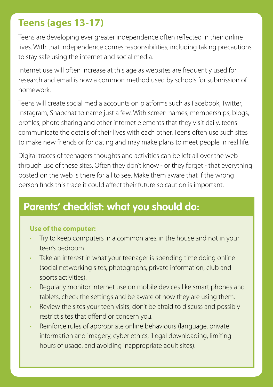### **Teens (ages 13-17)**

Teens are developing ever greater independence often reflected in their online lives. With that independence comes responsibilities, including taking precautions to stay safe using the internet and social media.

Internet use will often increase at this age as websites are frequently used for research and email is now a common method used by schools for submission of homework.

Teens will create social media accounts on platforms such as Facebook, Twitter, Instagram, Snapchat to name just a few. With screen names, memberships, blogs, profiles, photo sharing and other internet elements that they visit daily, teens communicate the details of their lives with each other. Teens often use such sites to make new friends or for dating and may make plans to meet people in real life.

Digital traces of teenagers thoughts and activities can be left all over the web through use of these sites. Often they don't know - or they forget - that everything posted on the web is there for all to see. Make them aware that if the wrong person finds this trace it could affect their future so caution is important.

### **Parents' checklist: what you should do:**

#### **Use of the computer:**

- Try to keep computers in a common area in the house and not in your teen's bedroom.
- Take an interest in what your teenager is spending time doing online (social networking sites, photographs, private information, club and sports activities).
- Regularly monitor internet use on mobile devices like smart phones and tablets, check the settings and be aware of how they are using them.
- Review the sites your teen visits; don't be afraid to discuss and possibly restrict sites that offend or concern you.
- Reinforce rules of appropriate online behaviours (language, private information and imagery, cyber ethics, illegal downloading, limiting hours of usage, and avoiding inappropriate adult sites).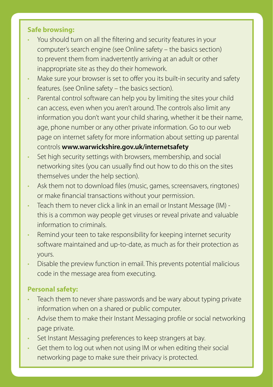#### **Safe browsing:**

- You should turn on all the filtering and security features in your computer's search engine (see Online safety – the basics section) to prevent them from inadvertently arriving at an adult or other inappropriate site as they do their homework.
- Make sure your browser is set to offer you its built-in security and safety features. (see Online safety – the basics section).
- Parental control software can help you by limiting the sites your child can access, even when you aren't around. The controls also limit any information you don't want your child sharing, whether it be their name, age, phone number or any other private information. Go to our web page on internet safety for more information about setting up parental controls **www.warwickshire.gov.uk/internetsafety**
- Set high security settings with browsers, membership, and social networking sites (you can usually find out how to do this on the sites themselves under the help section).
- Ask them not to download files (music, games, screensavers, ringtones) or make financial transactions without your permission.
- Teach them to never click a link in an email or Instant Message (IM) this is a common way people get viruses or reveal private and valuable information to criminals.
- Remind your teen to take responsibility for keeping internet security software maintained and up-to-date, as much as for their protection as yours.
- Disable the preview function in email. This prevents potential malicious code in the message area from executing.

#### **Personal safety:**

- Teach them to never share passwords and be wary about typing private information when on a shared or public computer.
- Advise them to make their Instant Messaging profile or social networking page private.
- Set Instant Messaging preferences to keep strangers at bay.
- Get them to log out when not using IM or when editing their social networking page to make sure their privacy is protected.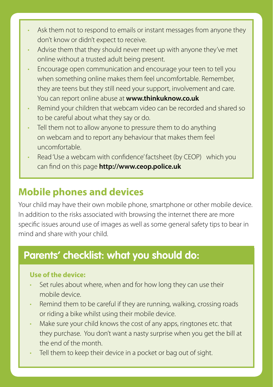- Ask them not to respond to emails or instant messages from anyone they don't know or didn't expect to receive.
- Advise them that they should never meet up with anyone they've met online without a trusted adult being present.
- Encourage open communication and encourage your teen to tell you when something online makes them feel uncomfortable. Remember, they are teens but they still need your support, involvement and care. You can report online abuse at **www.thinkuknow.co.uk**
- Remind your children that webcam video can be recorded and shared so to be careful about what they say or do.
- Tell them not to allow anyone to pressure them to do anything on webcam and to report any behaviour that makes them feel uncomfortable.
- Read 'Use a webcam with confidence' factsheet (by CEOP) which you can find on this page **http://www.ceop.police.uk**

### **Mobile phones and devices**

Your child may have their own mobile phone, smartphone or other mobile device. In addition to the risks associated with browsing the internet there are more specific issues around use of images as well as some general safety tips to bear in mind and share with your child.

### **Parents' checklist: what you should do:**

#### **Use of the device:**

- Set rules about where, when and for how long they can use their mobile device.
- Remind them to be careful if they are running, walking, crossing roads or riding a bike whilst using their mobile device.
- Make sure your child knows the cost of any apps, ringtones etc. that they purchase. You don't want a nasty surprise when you get the bill at the end of the month.
- Tell them to keep their device in a pocket or bag out of sight.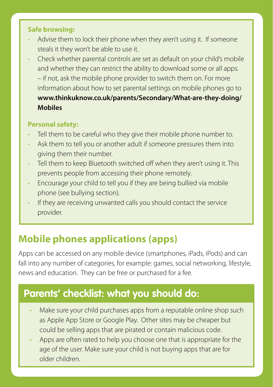#### **Safe browsing:**

- Advise them to lock their phone when they aren't using it. If someone steals it they won't be able to use it.
- Check whether parental controls are set as default on your child's mobile and whether they can restrict the ability to download some or all apps. – if not, ask the mobile phone provider to switch them on. For more information about how to set parental settings on mobile phones go to **www.thinkuknow.co.uk/parents/Secondary/What-are-they-doing/ Mobiles**

#### **Personal safety:**

- Tell them to be careful who they give their mobile phone number to.
- Ask them to tell you or another adult if someone pressures them into giving them their number.
- Tell them to keep Bluetooth switched off when they aren't using it. This prevents people from accessing their phone remotely.
- Encourage your child to tell you if they are being bullied via mobile phone (see bullying section).
- If they are receiving unwanted calls you should contact the service provider.

### **Mobile phones applications (apps)**

Apps can be accessed on any mobile device (smartphones, iPads, iPods) and can fall into any number of categories, for example: games, social networking, lifestyle, news and education. They can be free or purchased for a fee.

### **Parents' checklist: what you should do:**

- Make sure your child purchases apps from a reputable online shop such as Apple App Store or Google Play. Other sites may be cheaper but could be selling apps that are pirated or contain malicious code.
- Apps are often rated to help you choose one that is appropriate for the age of the user. Make sure your child is not buying apps that are for older children.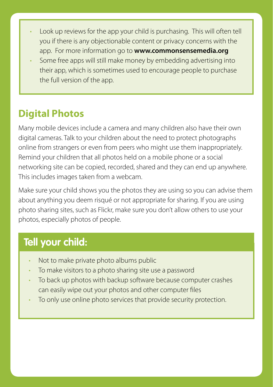- Look up reviews for the app your child is purchasing. This will often tell you if there is any objectionable content or privacy concerns with the app. For more information go to **www.commonsensemedia.org**
- Some free apps will still make money by embedding advertising into their app, which is sometimes used to encourage people to purchase the full version of the app.

### **Digital Photos**

Many mobile devices include a camera and many children also have their own digital cameras. Talk to your children about the need to protect photographs online from strangers or even from peers who might use them inappropriately. Remind your children that all photos held on a mobile phone or a social networking site can be copied, recorded, shared and they can end up anywhere. This includes images taken from a webcam.

Make sure your child shows you the photos they are using so you can advise them about anything you deem risqué or not appropriate for sharing. If you are using photo sharing sites, such as Flickr, make sure you don't allow others to use your photos, especially photos of people.

### **Tell your child:**

- Not to make private photo albums public
- To make visitors to a photo sharing site use a password
- To back up photos with backup software because computer crashes can easily wipe out your photos and other computer files
- To only use online photo services that provide security protection.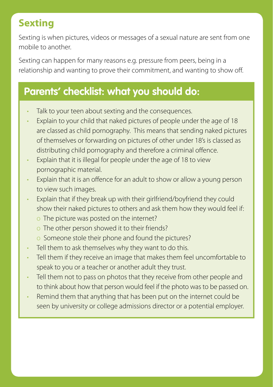### **Sexting**

Sexting is when pictures, videos or messages of a sexual nature are sent from one mobile to another.

Sexting can happen for many reasons e.g. pressure from peers, being in a relationship and wanting to prove their commitment, and wanting to show off.

### **Parents' checklist: what you should do:**

- Talk to your teen about sexting and the consequences.
- Explain to your child that naked pictures of people under the age of 18 are classed as child pornography. This means that sending naked pictures of themselves or forwarding on pictures of other under 18's is classed as distributing child pornography and therefore a criminal offence.
- Explain that it is illegal for people under the age of 18 to view pornographic material.
- Explain that it is an offence for an adult to show or allow a young person to view such images.
- Explain that if they break up with their girlfriend/boyfriend they could show their naked pictures to others and ask them how they would feel if:
	- o The picture was posted on the internet?
	- o The other person showed it to their friends?
	- o Someone stole their phone and found the pictures?
- Tell them to ask themselves why they want to do this.
- Tell them if they receive an image that makes them feel uncomfortable to speak to you or a teacher or another adult they trust.
- Tell them not to pass on photos that they receive from other people and to think about how that person would feel if the photo was to be passed on.
- Remind them that anything that has been put on the internet could be seen by university or college admissions director or a potential employer.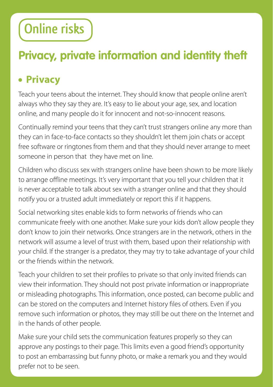# **Online risks**

### **Privacy, private information and identity theft**

### **Privacy**

Teach your teens about the internet. They should know that people online aren't always who they say they are. It's easy to lie about your age, sex, and location online, and many people do it for innocent and not-so-innocent reasons.

Continually remind your teens that they can't trust strangers online any more than they can in face-to-face contacts so they shouldn't let them join chats or accept free software or ringtones from them and that they should never arrange to meet someone in person that they have met on line.

Children who discuss sex with strangers online have been shown to be more likely to arrange offline meetings. It's very important that you tell your children that it is never acceptable to talk about sex with a stranger online and that they should notify you or a trusted adult immediately or report this if it happens.

Social networking sites enable kids to form networks of friends who can communicate freely with one another. Make sure your kids don't allow people they don't know to join their networks. Once strangers are in the network, others in the network will assume a level of trust with them, based upon their relationship with your child. If the stranger is a predator, they may try to take advantage of your child or the friends within the network.

Teach your children to set their profiles to private so that only invited friends can view their information. They should not post private information or inappropriate or misleading photographs. This information, once posted, can become public and can be stored on the computers and Internet history files of others. Even if you remove such information or photos, they may still be out there on the Internet and in the hands of other people.

Make sure your child sets the communication features properly so they can approve any postings to their page. This limits even a good friend's opportunity to post an embarrassing but funny photo, or make a remark you and they would prefer not to be seen.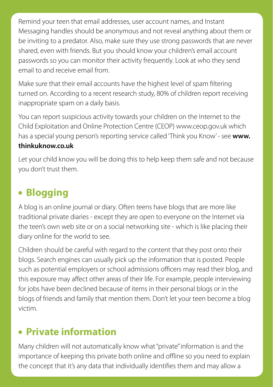Remind your teen that email addresses, user account names, and Instant Messaging handles should be anonymous and not reveal anything about them or be inviting to a predator. Also, make sure they use strong passwords that are never shared, even with friends. But you should know your children's email account passwords so you can monitor their activity frequently. Look at who they send email to and receive email from.

Make sure that their email accounts have the highest level of spam filtering turned on. According to a recent research study, 80% of children report receiving inappropriate spam on a daily basis.

You can report suspicious activity towards your children on the Internet to the Child Exploitation and Online Protection Centre (CEOP) www.ceop.gov.uk which has a special young person's reporting service called 'Think you Know'- see www. **thinkuknow.co.uk**

Let your child know you will be doing this to help keep them safe and not because you don't trust them.

### **Blogging**

A blog is an online journal or diary. Often teens have blogs that are more like traditional private diaries - except they are open to everyone on the Internet via the teen's own web site or on a social networking site - which is like placing their diary online for the world to see.

Children should be careful with regard to the content that they post onto their blogs. Search engines can usually pick up the information that is posted. People such as potential employers or school admissions officers may read their blog, and this exposure may affect other areas of their life. For example, people interviewing for jobs have been declined because of items in their personal blogs or in the blogs of friends and family that mention them. Don't let your teen become a blog victim.

### **Private information**

Many children will not automatically know what "private" information is and the importance of keeping this private both online and offline so you need to explain the concept that it's any data that individually identifies them and may allow a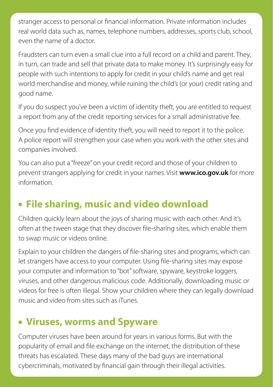stranger access to personal or financial information. Private information includes real world data such as, names, telephone numbers, addresses, sports club, school, even the name of a doctor.

Fraudsters can turn even a small clue into a full record on a child and parent. They, in turn, can trade and sell that private data to make money. It's surprisingly easy for people with such intentions to apply for credit in your child's name and get real world merchandise and money, while ruining the child's (or your) credit rating and good name.

If you do suspect you've been a victim of identity theft, you are entitled to request a report from any of the credit reporting services for a small administrative fee.

Once you find evidence of identity theft, you will need to report it to the police. A police report will strengthen your case when you work with the other sites and companies involved.

You can also put a "freeze" on your credit record and those of your children to prevent strangers applying for credit in your names. Visit **www.ico.gov.uk** for more information.

### **File sharing, music and video download**

Children quickly learn about the joys of sharing music with each other. And it's often at the tween stage that they discover file-sharing sites, which enable them to swap music or videos online.

Explain to your children the dangers of file-sharing sites and programs, which can let strangers have access to your computer. Using file-sharing sites may expose your computer and information to "bot" software, spyware, keystroke loggers, viruses, and other dangerous malicious code. Additionally, downloading music or videos for free is often illegal. Show your children where they can legally download music and video from sites such as iTunes.

### **Viruses, worms and Spyware**

Computer viruses have been around for years in various forms. But with the popularity of email and file exchange on the internet, the distribution of these threats has escalated. These days many of the bad guys are international cybercriminals, motivated by financial gain through their illegal activities.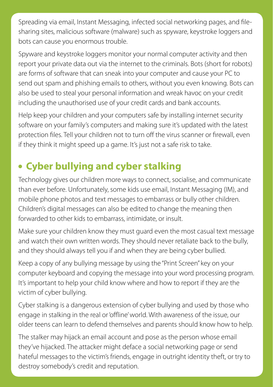Spreading via email, Instant Messaging, infected social networking pages, and filesharing sites, malicious software (malware) such as spyware, keystroke loggers and bots can cause you enormous trouble.

Spyware and keystroke loggers monitor your normal computer activity and then report your private data out via the internet to the criminals. Bots (short for robots) are forms of software that can sneak into your computer and cause your PC to send out spam and phishing emails to others, without you even knowing. Bots can also be used to steal your personal information and wreak havoc on your credit including the unauthorised use of your credit cards and bank accounts.

Help keep your children and your computers safe by installing internet security software on your family's computers and making sure it's updated with the latest protection files. Tell your children not to turn off the virus scanner or firewall, even if they think it might speed up a game. It's just not a safe risk to take.

### **Cyber bullying and cyber stalking**

Technology gives our children more ways to connect, socialise, and communicate than ever before. Unfortunately, some kids use email, Instant Messaging (IM), and mobile phone photos and text messages to embarrass or bully other children. Children's digital messages can also be edited to change the meaning then forwarded to other kids to embarrass, intimidate, or insult.

Make sure your children know they must guard even the most casual text message and watch their own written words. They should never retaliate back to the bully, and they should always tell you if and when they are being cyber bullied.

Keep a copy of any bullying message by using the "Print Screen" key on your computer keyboard and copying the message into your word processing program. It's important to help your child know where and how to report if they are the victim of cyber bullying.

Cyber stalking is a dangerous extension of cyber bullying and used by those who engage in stalking in the real or 'offline' world. With awareness of the issue, our older teens can learn to defend themselves and parents should know how to help.

The stalker may hijack an email account and pose as the person whose email they've hijacked. The attacker might deface a social networking page or send hateful messages to the victim's friends, engage in outright identity theft, or try to destroy somebody's credit and reputation.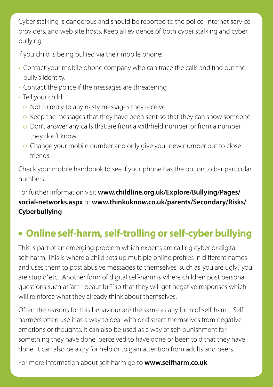Cyber stalking is dangerous and should be reported to the police, Internet service providers, and web site hosts. Keep all evidence of both cyber stalking and cyber bullying.

If you child is being bullied via their mobile phone:

- Contact your mobile phone company who can trace the calls and find out the bully's identity.
- Contact the police if the messages are threatening
- Tell your child:
	- o Not to reply to any nasty messages they receive
	- o Keep the messages that they have been sent so that they can show someone
	- o Don't answer any calls that are from a withheld number, or from a number they don't know
	- o Change your mobile number and only give your new number out to close friends.

Check your mobile handbook to see if your phone has the option to bar particular numbers.

#### For further information visit **www.childline.org.uk/Explore/Bullying/Pages/ social-networks.aspx** or **www.thinkuknow.co.uk/parents/Secondary/Risks/ Cyberbullying**

### **Online self-harm, self-trolling or self-cyber bullying**

This is part of an emerging problem which experts are calling cyber or digital self-harm. This is where a child sets up multiple online profiles in different names and uses them to post abusive messages to themselves, such as 'you are ugly', 'you are stupid' etc. Another form of digital self-harm is where children post personal questions such as 'am I beautiful?' so that they will get negative responses which will reinforce what they already think about themselves.

Often the reasons for this behaviour are the same as any form of self-harm. Selfharmers often use it as a way to deal with or distract themselves from negative emotions or thoughts. It can also be used as a way of self-punishment for something they have done, perceived to have done or been told that they have done. It can also be a cry for help or to gain attention from adults and peers.

For more information about self-harm go to **www.selfharm.co.uk**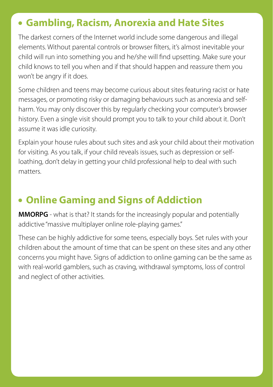#### **Gambling, Racism, Anorexia and Hate Sites**

The darkest corners of the Internet world include some dangerous and illegal elements. Without parental controls or browser filters, it's almost inevitable your child will run into something you and he/she will find upsetting. Make sure your child knows to tell you when and if that should happen and reassure them you won't be angry if it does.

Some children and teens may become curious about sites featuring racist or hate messages, or promoting risky or damaging behaviours such as anorexia and selfharm. You may only discover this by regularly checking your computer's browser history. Even a single visit should prompt you to talk to your child about it. Don't assume it was idle curiosity.

Explain your house rules about such sites and ask your child about their motivation for visiting. As you talk, if your child reveals issues, such as depression or selfloathing, don't delay in getting your child professional help to deal with such matters.

### **Online Gaming and Signs of Addiction**

**MMORPG** - what is that? It stands for the increasingly popular and potentially addictive "massive multiplayer online role-playing games."

These can be highly addictive for some teens, especially boys. Set rules with your children about the amount of time that can be spent on these sites and any other concerns you might have. Signs of addiction to online gaming can be the same as with real-world gamblers, such as craving, withdrawal symptoms, loss of control and neglect of other activities.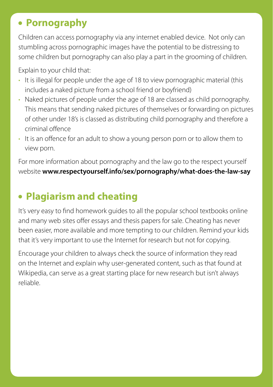### **Pornography**

Children can access pornography via any internet enabled device. Not only can stumbling across pornographic images have the potential to be distressing to some children but pornography can also play a part in the grooming of children.

Explain to your child that:

- It is illegal for people under the age of 18 to view pornographic material (this includes a naked picture from a school friend or boyfriend)
- Naked pictures of people under the age of 18 are classed as child pornography. This means that sending naked pictures of themselves or forwarding on pictures of other under 18's is classed as distributing child pornography and therefore a criminal offence
- It is an offence for an adult to show a young person porn or to allow them to view porn.

For more information about pornography and the law go to the respect yourself website **www.respectyourself.info/sex/pornography/what-does-the-law-say** 

### **Plagiarism and cheating**

It's very easy to find homework guides to all the popular school textbooks online and many web sites offer essays and thesis papers for sale. Cheating has never been easier, more available and more tempting to our children. Remind your kids that it's very important to use the Internet for research but not for copying.

Encourage your children to always check the source of information they read on the Internet and explain why user-generated content, such as that found at Wikipedia, can serve as a great starting place for new research but isn't always reliable.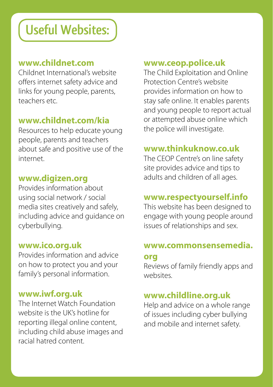# **Useful Websites:**

#### **www.childnet.com**

Childnet International's website offers internet safety advice and links for young people, parents, teachers etc.

#### **www.childnet.com/kia**

Resources to help educate young people, parents and teachers about safe and positive use of the internet.

#### **www.digizen.org**

Provides information about using social network / social media sites creatively and safely, including advice and guidance on cyberbullying.

#### **www.ico.org.uk**

Provides information and advice on how to protect you and your family's personal information.

#### **www.iwf.org.uk**

The Internet Watch Foundation website is the UK's hotline for reporting illegal online content, including child abuse images and racial hatred content.

#### **www.ceop.police.uk**

The Child Exploitation and Online Protection Centre's website provides information on how to stay safe online. It enables parents and young people to report actual or attempted abuse online which the police will investigate.

#### **www.thinkuknow.co.uk**

The CEOP Centre's on line safety site provides advice and tips to adults and children of all ages.

#### **www.respectyourself.info**

This website has been designed to engage with young people around issues of relationships and sex.

### **www.commonsensemedia.**

#### **org**

Reviews of family friendly apps and websites.

#### **www.childline.org.uk**

Help and advice on a whole range of issues including cyber bullying and mobile and internet safety.